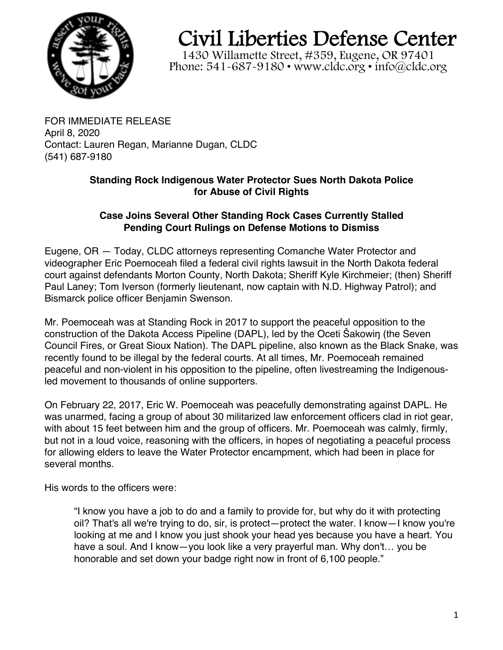

## Civil Liberties Defense Center

1430 Willamette Street, #359, Eugene, OR 97401 Phone:  $541 - 687 - 9180 \cdot$  www.cldc.org  $\cdot$  info@cldc.org

FOR IMMEDIATE RELEASE April 8, 2020 Contact: Lauren Regan, Marianne Dugan, CLDC (541) 687-9180

## **Standing Rock Indigenous Water Protector Sues North Dakota Police for Abuse of Civil Rights**

## **Case Joins Several Other Standing Rock Cases Currently Stalled Pending Court Rulings on Defense Motions to Dismiss**

Eugene, OR — Today, CLDC attorneys representing Comanche Water Protector and videographer Eric Poemoceah filed a federal civil rights lawsuit in the North Dakota federal court against defendants Morton County, North Dakota; Sheriff Kyle Kirchmeier; (then) Sheriff Paul Laney; Tom Iverson (formerly lieutenant, now captain with N.D. Highway Patrol); and Bismarck police officer Benjamin Swenson.

Mr. Poemoceah was at Standing Rock in 2017 to support the peaceful opposition to the construction of the Dakota Access Pipeline (DAPL), led by the Oceti Šakowiŋ (the Seven Council Fires, or Great Sioux Nation). The DAPL pipeline, also known as the Black Snake, was recently found to be illegal by the federal courts. At all times, Mr. Poemoceah remained peaceful and non-violent in his opposition to the pipeline, often livestreaming the Indigenousled movement to thousands of online supporters.

On February 22, 2017, Eric W. Poemoceah was peacefully demonstrating against DAPL. He was unarmed, facing a group of about 30 militarized law enforcement officers clad in riot gear, with about 15 feet between him and the group of officers. Mr. Poemoceah was calmly, firmly, but not in a loud voice, reasoning with the officers, in hopes of negotiating a peaceful process for allowing elders to leave the Water Protector encampment, which had been in place for several months.

His words to the officers were:

"I know you have a job to do and a family to provide for, but why do it with protecting oil? That's all we're trying to do, sir, is protect—protect the water. I know—I know you're looking at me and I know you just shook your head yes because you have a heart. You have a soul. And I know—you look like a very prayerful man. Why don't… you be honorable and set down your badge right now in front of 6,100 people."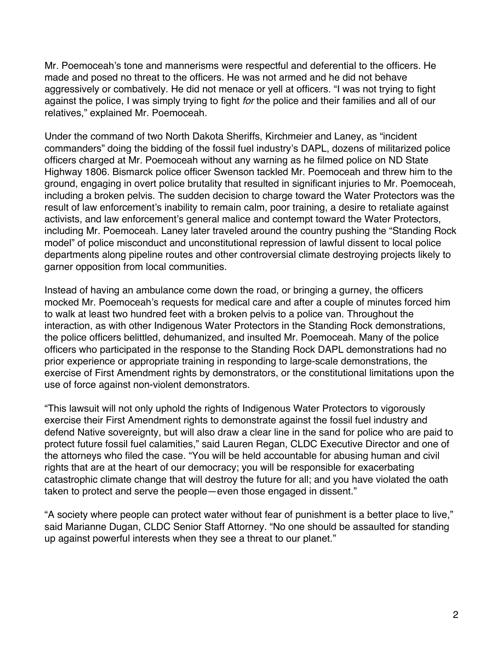Mr. Poemoceah's tone and mannerisms were respectful and deferential to the officers. He made and posed no threat to the officers. He was not armed and he did not behave aggressively or combatively. He did not menace or yell at officers. "I was not trying to fight against the police, I was simply trying to fight for the police and their families and all of our relatives," explained Mr. Poemoceah.

Under the command of two North Dakota Sheriffs, Kirchmeier and Laney, as "incident commanders" doing the bidding of the fossil fuel industry's DAPL, dozens of militarized police officers charged at Mr. Poemoceah without any warning as he filmed police on ND State Highway 1806. Bismarck police officer Swenson tackled Mr. Poemoceah and threw him to the ground, engaging in overt police brutality that resulted in significant injuries to Mr. Poemoceah, including a broken pelvis. The sudden decision to charge toward the Water Protectors was the result of law enforcement's inability to remain calm, poor training, a desire to retaliate against activists, and law enforcement's general malice and contempt toward the Water Protectors, including Mr. Poemoceah. Laney later traveled around the country pushing the "Standing Rock model" of police misconduct and unconstitutional repression of lawful dissent to local police departments along pipeline routes and other controversial climate destroying projects likely to garner opposition from local communities.

Instead of having an ambulance come down the road, or bringing a gurney, the officers mocked Mr. Poemoceah's requests for medical care and after a couple of minutes forced him to walk at least two hundred feet with a broken pelvis to a police van. Throughout the interaction, as with other Indigenous Water Protectors in the Standing Rock demonstrations, the police officers belittled, dehumanized, and insulted Mr. Poemoceah. Many of the police officers who participated in the response to the Standing Rock DAPL demonstrations had no prior experience or appropriate training in responding to large-scale demonstrations, the exercise of First Amendment rights by demonstrators, or the constitutional limitations upon the use of force against non-violent demonstrators.

"This lawsuit will not only uphold the rights of Indigenous Water Protectors to vigorously exercise their First Amendment rights to demonstrate against the fossil fuel industry and defend Native sovereignty, but will also draw a clear line in the sand for police who are paid to protect future fossil fuel calamities," said Lauren Regan, CLDC Executive Director and one of the attorneys who filed the case. "You will be held accountable for abusing human and civil rights that are at the heart of our democracy; you will be responsible for exacerbating catastrophic climate change that will destroy the future for all; and you have violated the oath taken to protect and serve the people—even those engaged in dissent."

"A society where people can protect water without fear of punishment is a better place to live," said Marianne Dugan, CLDC Senior Staff Attorney. "No one should be assaulted for standing up against powerful interests when they see a threat to our planet."